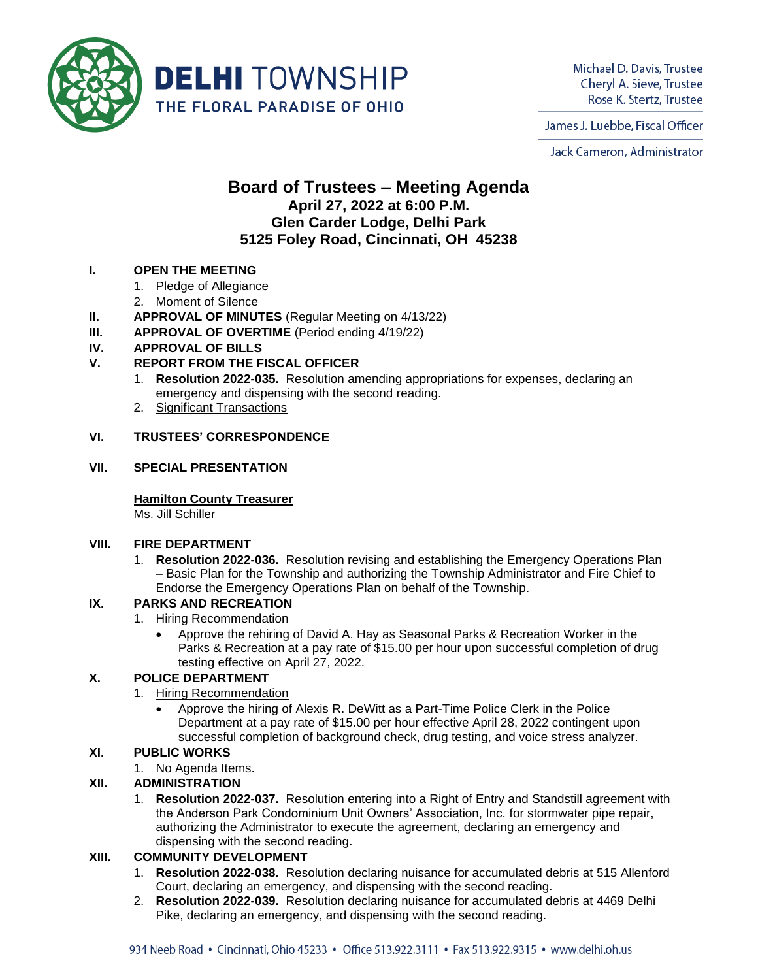

Michael D. Davis, Trustee Cheryl A. Sieve, Trustee Rose K. Stertz, Trustee

James J. Luebbe, Fiscal Officer

Jack Cameron, Administrator

# **Board of Trustees – Meeting Agenda April 27, 2022 at 6:00 P.M. Glen Carder Lodge, Delhi Park 5125 Foley Road, Cincinnati, OH 45238**

## **I. OPEN THE MEETING**

- 1. Pledge of Allegiance
- 2. Moment of Silence
- **II. APPROVAL OF MINUTES** (Regular Meeting on 4/13/22)
- **III. APPROVAL OF OVERTIME** (Period ending 4/19/22)

## **IV. APPROVAL OF BILLS**

## **V. REPORT FROM THE FISCAL OFFICER**

- 1. **Resolution 2022-035.** Resolution amending appropriations for expenses, declaring an emergency and dispensing with the second reading.
- 2. Significant Transactions

## **VI. TRUSTEES' CORRESPONDENCE**

#### **VII. SPECIAL PRESENTATION**

## **Hamilton County Treasurer**

Ms. Jill Schiller

#### **VIII. FIRE DEPARTMENT**

1. **Resolution 2022-036.** Resolution revising and establishing the Emergency Operations Plan – Basic Plan for the Township and authorizing the Township Administrator and Fire Chief to Endorse the Emergency Operations Plan on behalf of the Township.

## **IX. PARKS AND RECREATION**

- 1. Hiring Recommendation
	- Approve the rehiring of David A. Hay as Seasonal Parks & Recreation Worker in the Parks & Recreation at a pay rate of \$15.00 per hour upon successful completion of drug testing effective on April 27, 2022.

## **X. POLICE DEPARTMENT**

- 1. Hiring Recommendation
	- Approve the hiring of Alexis R. DeWitt as a Part-Time Police Clerk in the Police Department at a pay rate of \$15.00 per hour effective April 28, 2022 contingent upon successful completion of background check, drug testing, and voice stress analyzer.

## **XI. PUBLIC WORKS**

1. No Agenda Items.

## **XII. ADMINISTRATION**

1. **Resolution 2022-037.** Resolution entering into a Right of Entry and Standstill agreement with the Anderson Park Condominium Unit Owners' Association, Inc. for stormwater pipe repair, authorizing the Administrator to execute the agreement, declaring an emergency and dispensing with the second reading.

## **XIII. COMMUNITY DEVELOPMENT**

- 1. **Resolution 2022-038.** Resolution declaring nuisance for accumulated debris at 515 Allenford Court, declaring an emergency, and dispensing with the second reading.
- 2. **Resolution 2022-039.** Resolution declaring nuisance for accumulated debris at 4469 Delhi Pike, declaring an emergency, and dispensing with the second reading.